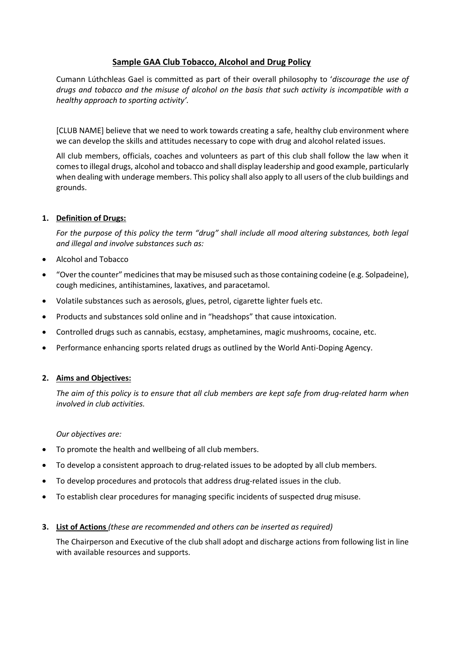# **Sample GAA Club Tobacco, Alcohol and Drug Policy**

Cumann Lúthchleas Gael is committed as part of their overall philosophy to '*discourage the use of drugs and tobacco and the misuse of alcohol on the basis that such activity is incompatible with a healthy approach to sporting activity'.* 

[CLUB NAME] believe that we need to work towards creating a safe, healthy club environment where we can develop the skills and attitudes necessary to cope with drug and alcohol related issues.

All club members, officials, coaches and volunteers as part of this club shall follow the law when it comes to illegal drugs, alcohol and tobacco and shall display leadership and good example, particularly when dealing with underage members. This policy shall also apply to all users of the club buildings and grounds.

# **1. Definition of Drugs:**

*For the purpose of this policy the term "drug" shall include all mood altering substances, both legal and illegal and involve substances such as:* 

- Alcohol and Tobacco
- "Over the counter" medicines that may be misused such as those containing codeine (e.g. Solpadeine), cough medicines, antihistamines, laxatives, and paracetamol.
- Volatile substances such as aerosols, glues, petrol, cigarette lighter fuels etc.
- Products and substances sold online and in "headshops" that cause intoxication.
- Controlled drugs such as cannabis, ecstasy, amphetamines, magic mushrooms, cocaine, etc.
- Performance enhancing sports related drugs as outlined by the World Anti-Doping Agency.

## **2. Aims and Objectives:**

*The aim of this policy is to ensure that all club members are kept safe from drug-related harm when involved in club activities.*

*Our objectives are:*

- To promote the health and wellbeing of all club members.
- To develop a consistent approach to drug-related issues to be adopted by all club members.
- To develop procedures and protocols that address drug-related issues in the club.
- To establish clear procedures for managing specific incidents of suspected drug misuse.

## **3. List of Actions** *(these are recommended and others can be inserted as required)*

The Chairperson and Executive of the club shall adopt and discharge actions from following list in line with available resources and supports.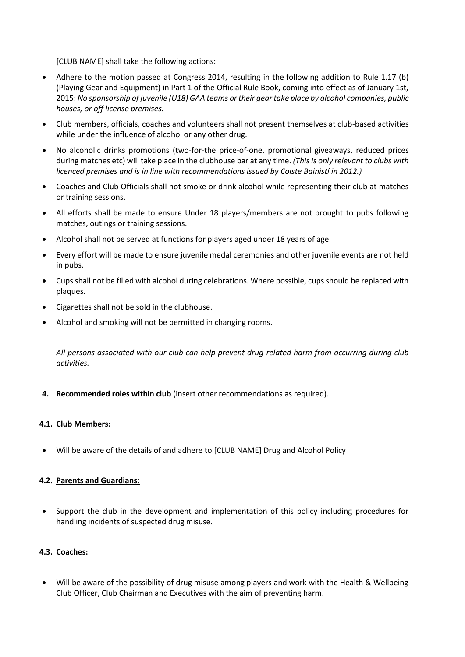[CLUB NAME] shall take the following actions:

- Adhere to the motion passed at Congress 2014, resulting in the following addition to Rule 1.17 (b) (Playing Gear and Equipment) in Part 1 of the Official Rule Book, coming into effect as of January 1st, 2015: *No sponsorship of juvenile (U18) GAA teams or their gear take place by alcohol companies, public houses, or off license premises.*
- Club members, officials, coaches and volunteers shall not present themselves at club-based activities while under the influence of alcohol or any other drug.
- No alcoholic drinks promotions (two-for-the price-of-one, promotional giveaways, reduced prices during matches etc) will take place in the clubhouse bar at any time. *(This is only relevant to clubs with licenced premises and is in line with recommendations issued by Coiste Bainistí in 2012.)*
- Coaches and Club Officials shall not smoke or drink alcohol while representing their club at matches or training sessions.
- All efforts shall be made to ensure Under 18 players/members are not brought to pubs following matches, outings or training sessions.
- Alcohol shall not be served at functions for players aged under 18 years of age.
- Every effort will be made to ensure juvenile medal ceremonies and other juvenile events are not held in pubs.
- Cups shall not be filled with alcohol during celebrations. Where possible, cups should be replaced with plaques.
- Cigarettes shall not be sold in the clubhouse.
- Alcohol and smoking will not be permitted in changing rooms.

*All persons associated with our club can help prevent drug-related harm from occurring during club activities.*

**4. Recommended roles within club** (insert other recommendations as required).

## **4.1. Club Members:**

• Will be aware of the details of and adhere to [CLUB NAME] Drug and Alcohol Policy

# **4.2. Parents and Guardians:**

• Support the club in the development and implementation of this policy including procedures for handling incidents of suspected drug misuse.

# **4.3. Coaches:**

• Will be aware of the possibility of drug misuse among players and work with the Health & Wellbeing Club Officer, Club Chairman and Executives with the aim of preventing harm.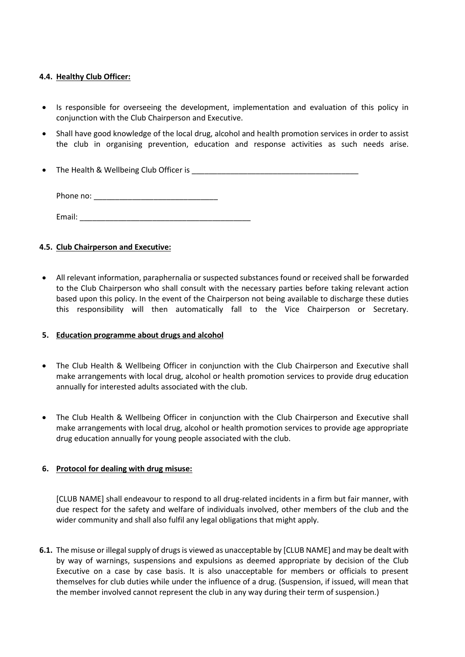# **4.4. Healthy Club Officer:**

- Is responsible for overseeing the development, implementation and evaluation of this policy in conjunction with the Club Chairperson and Executive.
- Shall have good knowledge of the local drug, alcohol and health promotion services in order to assist the club in organising prevention, education and response activities as such needs arise.
- The Health & Wellbeing Club Officer is \_\_\_\_\_\_\_\_\_\_\_\_\_\_\_\_\_\_\_\_\_\_\_\_\_\_\_\_\_\_\_\_\_\_\_\_\_\_\_

Phone no: \_\_\_\_\_\_\_\_\_\_\_\_\_\_\_\_\_\_\_\_\_\_\_\_\_\_\_\_\_

Email: \_\_\_\_\_\_\_\_\_\_\_\_\_\_\_\_\_\_\_\_\_\_\_\_\_\_\_\_\_\_\_\_\_\_\_\_\_\_\_\_

# **4.5. Club Chairperson and Executive:**

• All relevant information, paraphernalia or suspected substances found or received shall be forwarded to the Club Chairperson who shall consult with the necessary parties before taking relevant action based upon this policy. In the event of the Chairperson not being available to discharge these duties this responsibility will then automatically fall to the Vice Chairperson or Secretary.

## **5. Education programme about drugs and alcohol**

- The Club Health & Wellbeing Officer in conjunction with the Club Chairperson and Executive shall make arrangements with local drug, alcohol or health promotion services to provide drug education annually for interested adults associated with the club.
- The Club Health & Wellbeing Officer in conjunction with the Club Chairperson and Executive shall make arrangements with local drug, alcohol or health promotion services to provide age appropriate drug education annually for young people associated with the club.

# **6. Protocol for dealing with drug misuse:**

[CLUB NAME] shall endeavour to respond to all drug-related incidents in a firm but fair manner, with due respect for the safety and welfare of individuals involved, other members of the club and the wider community and shall also fulfil any legal obligations that might apply.

**6.1.** The misuse or illegal supply of drugs is viewed as unacceptable by [CLUB NAME] and may be dealt with by way of warnings, suspensions and expulsions as deemed appropriate by decision of the Club Executive on a case by case basis. It is also unacceptable for members or officials to present themselves for club duties while under the influence of a drug. (Suspension, if issued, will mean that the member involved cannot represent the club in any way during their term of suspension.)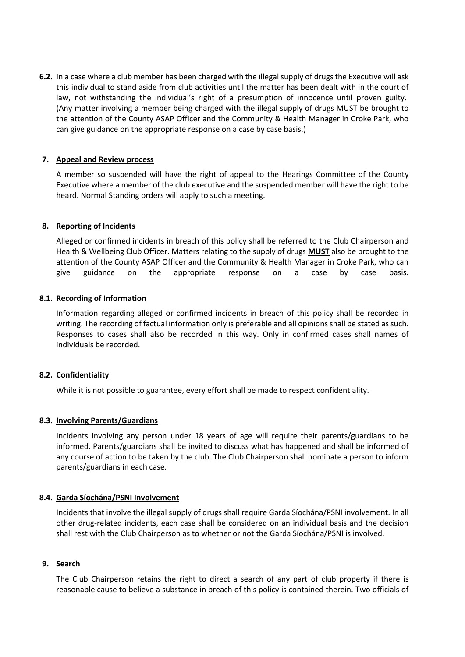**6.2.** In a case where a club member has been charged with the illegal supply of drugs the Executive will ask this individual to stand aside from club activities until the matter has been dealt with in the court of law, not withstanding the individual's right of a presumption of innocence until proven guilty. (Any matter involving a member being charged with the illegal supply of drugs MUST be brought to the attention of the County ASAP Officer and the Community & Health Manager in Croke Park, who can give guidance on the appropriate response on a case by case basis.)

## **7. Appeal and Review process**

A member so suspended will have the right of appeal to the Hearings Committee of the County Executive where a member of the club executive and the suspended member will have the right to be heard. Normal Standing orders will apply to such a meeting.

# **8. Reporting of Incidents**

Alleged or confirmed incidents in breach of this policy shall be referred to the Club Chairperson and Health & Wellbeing Club Officer. Matters relating to the supply of drugs **MUST** also be brought to the attention of the County ASAP Officer and the Community & Health Manager in Croke Park, who can give guidance on the appropriate response on a case by case basis.

# **8.1. Recording of Information**

Information regarding alleged or confirmed incidents in breach of this policy shall be recorded in writing. The recording of factual information only is preferable and all opinions shall be stated as such. Responses to cases shall also be recorded in this way. Only in confirmed cases shall names of individuals be recorded.

## **8.2. Confidentiality**

While it is not possible to guarantee, every effort shall be made to respect confidentiality.

## **8.3. Involving Parents/Guardians**

Incidents involving any person under 18 years of age will require their parents/guardians to be informed. Parents/guardians shall be invited to discuss what has happened and shall be informed of any course of action to be taken by the club. The Club Chairperson shall nominate a person to inform parents/guardians in each case.

## **8.4. Garda Síochána/PSNI Involvement**

Incidents that involve the illegal supply of drugs shall require Garda Síochána/PSNI involvement. In all other drug-related incidents, each case shall be considered on an individual basis and the decision shall rest with the Club Chairperson as to whether or not the Garda Síochána/PSNI is involved.

## **9. Search**

The Club Chairperson retains the right to direct a search of any part of club property if there is reasonable cause to believe a substance in breach of this policy is contained therein. Two officials of